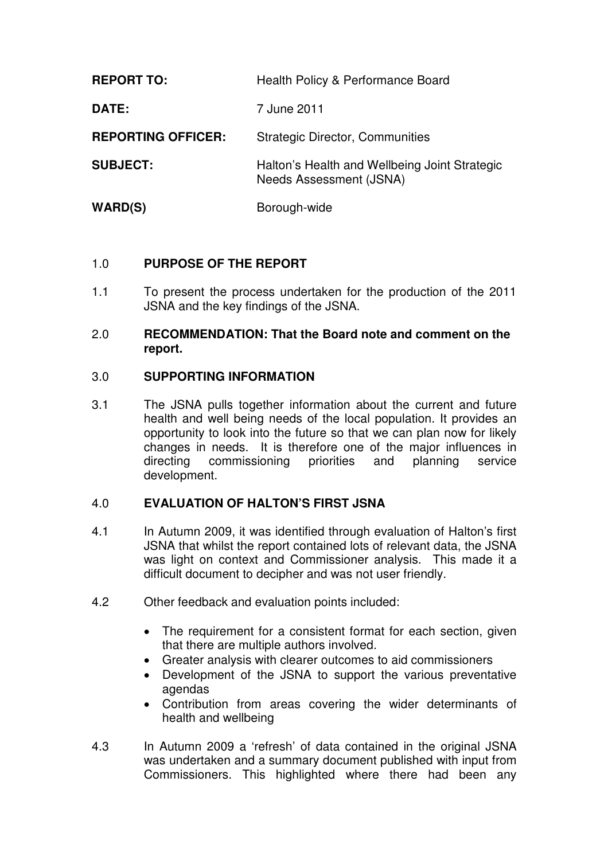| <b>REPORT TO:</b>         | Health Policy & Performance Board                                        |
|---------------------------|--------------------------------------------------------------------------|
| DATE:                     | 7 June 2011                                                              |
| <b>REPORTING OFFICER:</b> | <b>Strategic Director, Communities</b>                                   |
| <b>SUBJECT:</b>           | Halton's Health and Wellbeing Joint Strategic<br>Needs Assessment (JSNA) |
| WARD(S)                   | Borough-wide                                                             |

# 1.0 **PURPOSE OF THE REPORT**

1.1 To present the process undertaken for the production of the 2011 JSNA and the key findings of the JSNA.

### 2.0 **RECOMMENDATION: That the Board note and comment on the report.**

### 3.0 **SUPPORTING INFORMATION**

3.1 The JSNA pulls together information about the current and future health and well being needs of the local population. It provides an opportunity to look into the future so that we can plan now for likely changes in needs. It is therefore one of the major influences in directing commissioning priorities and planning service development.

## 4.0 **EVALUATION OF HALTON'S FIRST JSNA**

- 4.1 In Autumn 2009, it was identified through evaluation of Halton's first JSNA that whilst the report contained lots of relevant data, the JSNA was light on context and Commissioner analysis. This made it a difficult document to decipher and was not user friendly.
- 4.2 Other feedback and evaluation points included:
	- The requirement for a consistent format for each section, given that there are multiple authors involved.
	- Greater analysis with clearer outcomes to aid commissioners
	- Development of the JSNA to support the various preventative agendas
	- Contribution from areas covering the wider determinants of health and wellbeing
- 4.3 In Autumn 2009 a 'refresh' of data contained in the original JSNA was undertaken and a summary document published with input from Commissioners. This highlighted where there had been any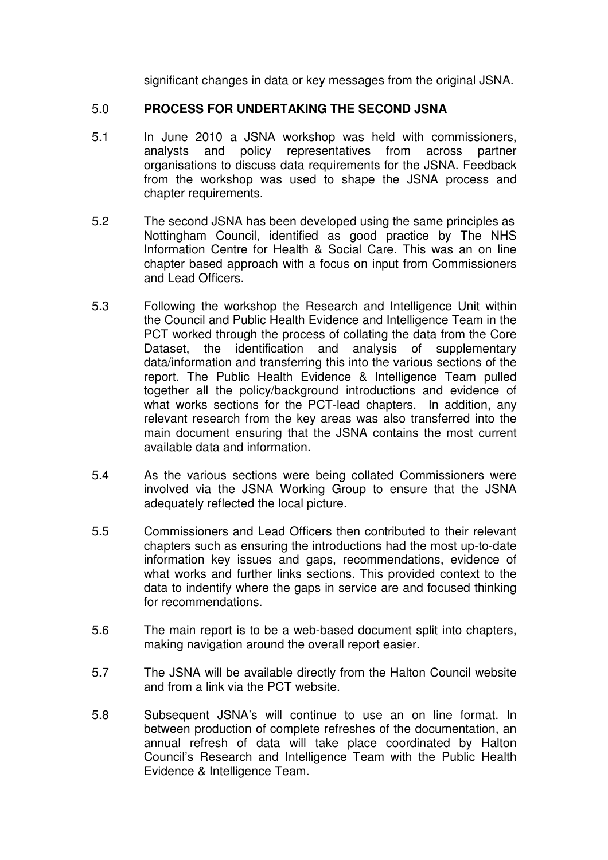significant changes in data or key messages from the original JSNA.

#### 5.0 **PROCESS FOR UNDERTAKING THE SECOND JSNA**

- 5.1 In June 2010 a JSNA workshop was held with commissioners, analysts and policy representatives from across partner organisations to discuss data requirements for the JSNA. Feedback from the workshop was used to shape the JSNA process and chapter requirements.
- 5.2 The second JSNA has been developed using the same principles as Nottingham Council, identified as good practice by The NHS Information Centre for Health & Social Care. This was an on line chapter based approach with a focus on input from Commissioners and Lead Officers.
- 5.3 Following the workshop the Research and Intelligence Unit within the Council and Public Health Evidence and Intelligence Team in the PCT worked through the process of collating the data from the Core Dataset, the identification and analysis of supplementary data/information and transferring this into the various sections of the report. The Public Health Evidence & Intelligence Team pulled together all the policy/background introductions and evidence of what works sections for the PCT-lead chapters. In addition, any relevant research from the key areas was also transferred into the main document ensuring that the JSNA contains the most current available data and information.
- 5.4 As the various sections were being collated Commissioners were involved via the JSNA Working Group to ensure that the JSNA adequately reflected the local picture.
- 5.5 Commissioners and Lead Officers then contributed to their relevant chapters such as ensuring the introductions had the most up-to-date information key issues and gaps, recommendations, evidence of what works and further links sections. This provided context to the data to indentify where the gaps in service are and focused thinking for recommendations.
- 5.6 The main report is to be a web-based document split into chapters, making navigation around the overall report easier.
- 5.7 The JSNA will be available directly from the Halton Council website and from a link via the PCT website.
- 5.8 Subsequent JSNA's will continue to use an on line format. In between production of complete refreshes of the documentation, an annual refresh of data will take place coordinated by Halton Council's Research and Intelligence Team with the Public Health Evidence & Intelligence Team.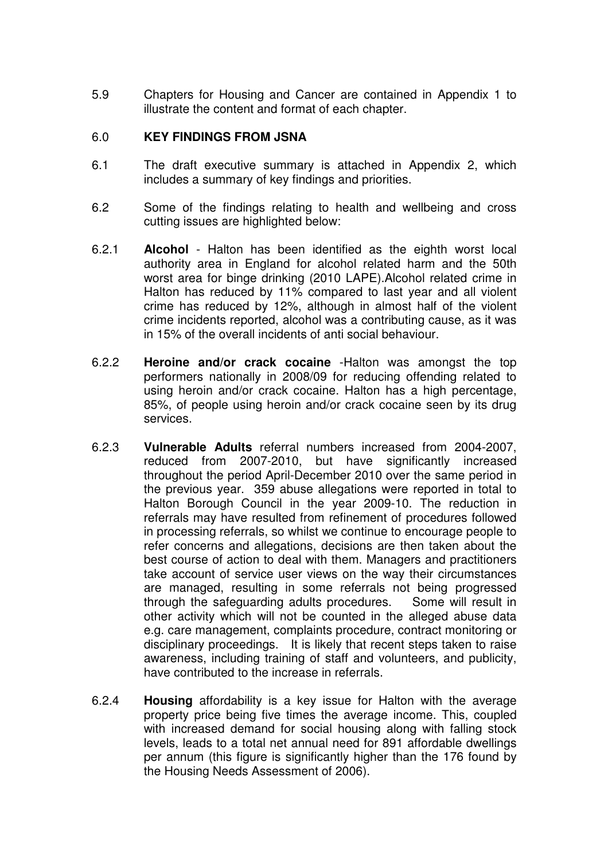5.9 Chapters for Housing and Cancer are contained in Appendix 1 to illustrate the content and format of each chapter.

### 6.0 **KEY FINDINGS FROM JSNA**

- 6.1 The draft executive summary is attached in Appendix 2, which includes a summary of key findings and priorities.
- 6.2 Some of the findings relating to health and wellbeing and cross cutting issues are highlighted below:
- 6.2.1 **Alcohol**  Halton has been identified as the eighth worst local authority area in England for alcohol related harm and the 50th worst area for binge drinking (2010 LAPE).Alcohol related crime in Halton has reduced by 11% compared to last year and all violent crime has reduced by 12%, although in almost half of the violent crime incidents reported, alcohol was a contributing cause, as it was in 15% of the overall incidents of anti social behaviour.
- 6.2.2 **Heroine and/or crack cocaine** -Halton was amongst the top performers nationally in 2008/09 for reducing offending related to using heroin and/or crack cocaine. Halton has a high percentage, 85%, of people using heroin and/or crack cocaine seen by its drug services.
- 6.2.3 **Vulnerable Adults** referral numbers increased from 2004-2007, reduced from 2007-2010, but have significantly increased throughout the period April-December 2010 over the same period in the previous year. 359 abuse allegations were reported in total to Halton Borough Council in the year 2009-10. The reduction in referrals may have resulted from refinement of procedures followed in processing referrals, so whilst we continue to encourage people to refer concerns and allegations, decisions are then taken about the best course of action to deal with them. Managers and practitioners take account of service user views on the way their circumstances are managed, resulting in some referrals not being progressed through the safeguarding adults procedures. Some will result in other activity which will not be counted in the alleged abuse data e.g. care management, complaints procedure, contract monitoring or disciplinary proceedings. It is likely that recent steps taken to raise awareness, including training of staff and volunteers, and publicity, have contributed to the increase in referrals.
- 6.2.4 **Housing** affordability is a key issue for Halton with the average property price being five times the average income. This, coupled with increased demand for social housing along with falling stock levels, leads to a total net annual need for 891 affordable dwellings per annum (this figure is significantly higher than the 176 found by the Housing Needs Assessment of 2006).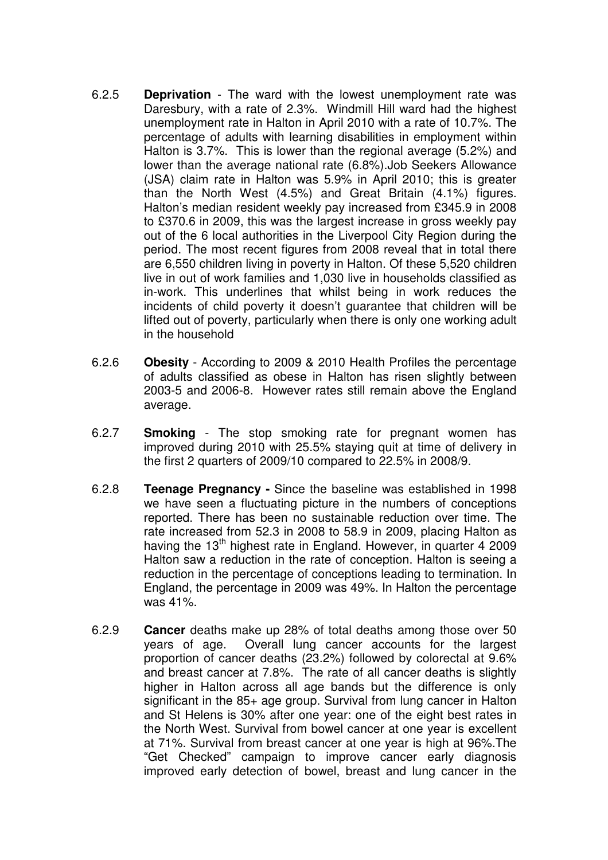- 6.2.5 **Deprivation** The ward with the lowest unemployment rate was Daresbury, with a rate of 2.3%. Windmill Hill ward had the highest unemployment rate in Halton in April 2010 with a rate of 10.7%. The percentage of adults with learning disabilities in employment within Halton is 3.7%. This is lower than the regional average (5.2%) and lower than the average national rate (6.8%).Job Seekers Allowance (JSA) claim rate in Halton was 5.9% in April 2010; this is greater than the North West (4.5%) and Great Britain (4.1%) figures. Halton's median resident weekly pay increased from £345.9 in 2008 to £370.6 in 2009, this was the largest increase in gross weekly pay out of the 6 local authorities in the Liverpool City Region during the period. The most recent figures from 2008 reveal that in total there are 6,550 children living in poverty in Halton. Of these 5,520 children live in out of work families and 1,030 live in households classified as in-work. This underlines that whilst being in work reduces the incidents of child poverty it doesn't guarantee that children will be lifted out of poverty, particularly when there is only one working adult in the household
- 6.2.6 **Obesity** According to 2009 & 2010 Health Profiles the percentage of adults classified as obese in Halton has risen slightly between 2003-5 and 2006-8. However rates still remain above the England average.
- 6.2.7 **Smoking**  The stop smoking rate for pregnant women has improved during 2010 with 25.5% staying quit at time of delivery in the first 2 quarters of 2009/10 compared to 22.5% in 2008/9.
- 6.2.8 **Teenage Pregnancy** Since the baseline was established in 1998 we have seen a fluctuating picture in the numbers of conceptions reported. There has been no sustainable reduction over time. The rate increased from 52.3 in 2008 to 58.9 in 2009, placing Halton as having the 13<sup>th</sup> highest rate in England. However, in quarter 4 2009 Halton saw a reduction in the rate of conception. Halton is seeing a reduction in the percentage of conceptions leading to termination. In England, the percentage in 2009 was 49%. In Halton the percentage was 41%.
- 6.2.9 **Cancer** deaths make up 28% of total deaths among those over 50 years of age. Overall lung cancer accounts for the largest proportion of cancer deaths (23.2%) followed by colorectal at 9.6% and breast cancer at 7.8%. The rate of all cancer deaths is slightly higher in Halton across all age bands but the difference is only significant in the 85+ age group. Survival from lung cancer in Halton and St Helens is 30% after one year: one of the eight best rates in the North West. Survival from bowel cancer at one year is excellent at 71%. Survival from breast cancer at one year is high at 96%.The "Get Checked" campaign to improve cancer early diagnosis improved early detection of bowel, breast and lung cancer in the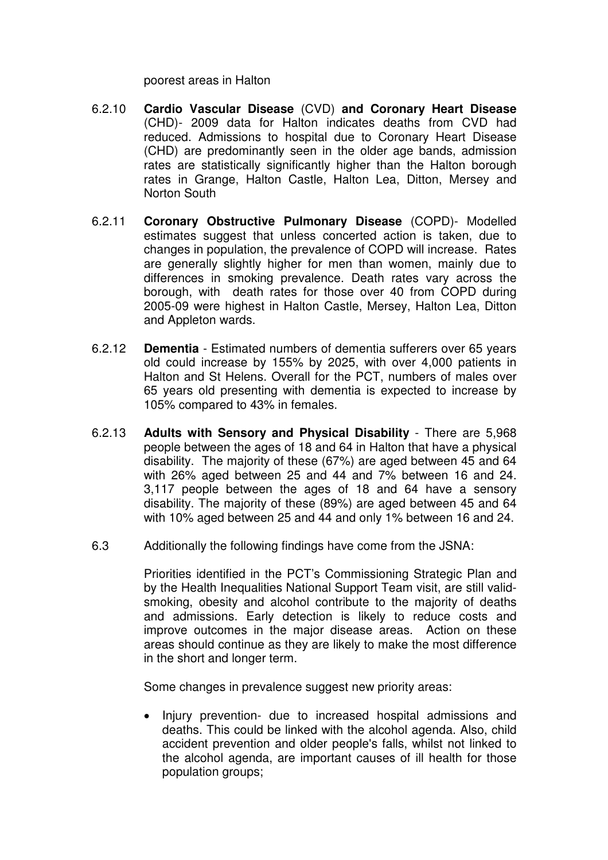poorest areas in Halton

- 6.2.10 **Cardio Vascular Disease** (CVD) **and Coronary Heart Disease** (CHD)- 2009 data for Halton indicates deaths from CVD had reduced. Admissions to hospital due to Coronary Heart Disease (CHD) are predominantly seen in the older age bands, admission rates are statistically significantly higher than the Halton borough rates in Grange, Halton Castle, Halton Lea, Ditton, Mersey and Norton South
- 6.2.11 **Coronary Obstructive Pulmonary Disease** (COPD)- Modelled estimates suggest that unless concerted action is taken, due to changes in population, the prevalence of COPD will increase. Rates are generally slightly higher for men than women, mainly due to differences in smoking prevalence. Death rates vary across the borough, with death rates for those over 40 from COPD during 2005-09 were highest in Halton Castle, Mersey, Halton Lea, Ditton and Appleton wards.
- 6.2.12 **Dementia** Estimated numbers of dementia sufferers over 65 years old could increase by 155% by 2025, with over 4,000 patients in Halton and St Helens. Overall for the PCT, numbers of males over 65 years old presenting with dementia is expected to increase by 105% compared to 43% in females.
- 6.2.13 **Adults with Sensory and Physical Disability** There are 5,968 people between the ages of 18 and 64 in Halton that have a physical disability. The majority of these (67%) are aged between 45 and 64 with 26% aged between 25 and 44 and 7% between 16 and 24. 3,117 people between the ages of 18 and 64 have a sensory disability. The majority of these (89%) are aged between 45 and 64 with 10% aged between 25 and 44 and only 1% between 16 and 24.
- 6.3 Additionally the following findings have come from the JSNA:

Priorities identified in the PCT's Commissioning Strategic Plan and by the Health Inequalities National Support Team visit, are still validsmoking, obesity and alcohol contribute to the majority of deaths and admissions. Early detection is likely to reduce costs and improve outcomes in the major disease areas. Action on these areas should continue as they are likely to make the most difference in the short and longer term.

Some changes in prevalence suggest new priority areas:

• Injury prevention- due to increased hospital admissions and deaths. This could be linked with the alcohol agenda. Also, child accident prevention and older people's falls, whilst not linked to the alcohol agenda, are important causes of ill health for those population groups;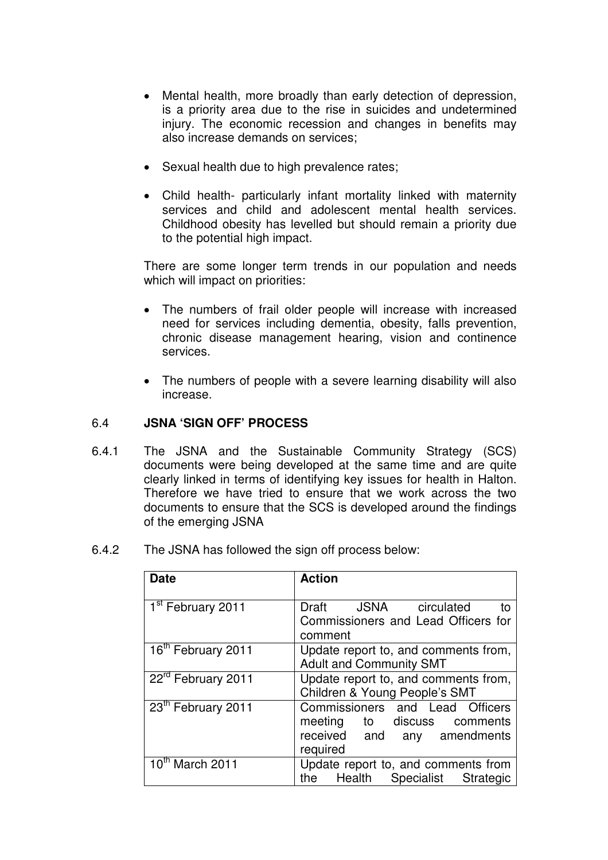- Mental health, more broadly than early detection of depression, is a priority area due to the rise in suicides and undetermined injury. The economic recession and changes in benefits may also increase demands on services;
- Sexual health due to high prevalence rates:
- Child health- particularly infant mortality linked with maternity services and child and adolescent mental health services. Childhood obesity has levelled but should remain a priority due to the potential high impact.

There are some longer term trends in our population and needs which will impact on priorities:

- The numbers of frail older people will increase with increased need for services including dementia, obesity, falls prevention, chronic disease management hearing, vision and continence services.
- The numbers of people with a severe learning disability will also increase.

### 6.4 **JSNA 'SIGN OFF' PROCESS**

- 6.4.1 The JSNA and the Sustainable Community Strategy (SCS) documents were being developed at the same time and are quite clearly linked in terms of identifying key issues for health in Halton. Therefore we have tried to ensure that we work across the two documents to ensure that the SCS is developed around the findings of the emerging JSNA
- 6.4.2 The JSNA has followed the sign off process below:

| <b>Date</b>                    | <b>Action</b>                                                                                                |
|--------------------------------|--------------------------------------------------------------------------------------------------------------|
| 1 <sup>st</sup> February 2011  | JSNA circulated<br>Draft<br>to<br>Commissioners and Lead Officers for<br>comment                             |
| 16 <sup>th</sup> February 2011 | Update report to, and comments from,<br><b>Adult and Community SMT</b>                                       |
| 22 <sup>rd</sup> February 2011 | Update report to, and comments from,<br>Children & Young People's SMT                                        |
| 23th February 2011             | Commissioners and Lead Officers<br>meeting to discuss comments<br>received and<br>any amendments<br>required |
| $10^{th}$ March 2011           | Update report to, and comments from<br>Health<br>Specialist<br><b>Strategic</b><br>the                       |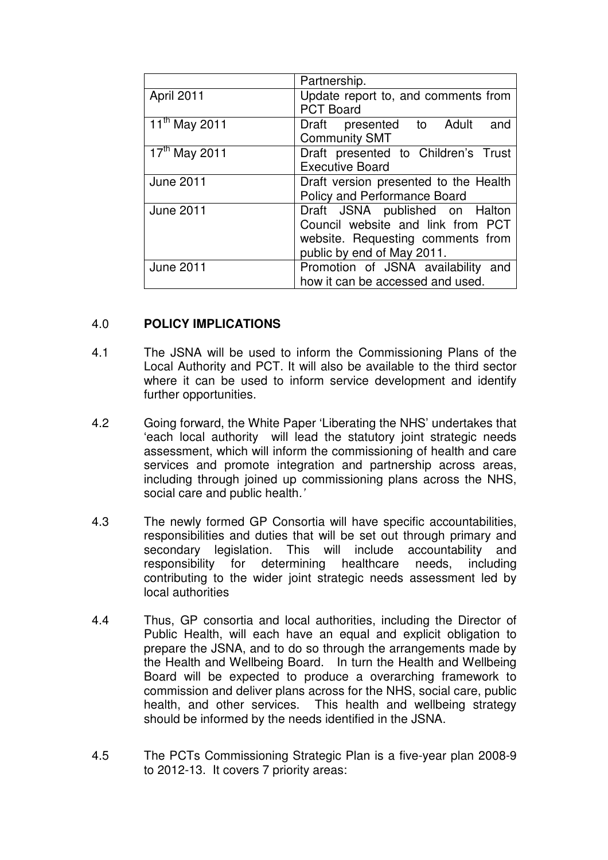|                                        | Partnership.                          |
|----------------------------------------|---------------------------------------|
| April 2011                             | Update report to, and comments from   |
|                                        | <b>PCT Board</b>                      |
| $\overline{11}$ <sup>th</sup> May 2011 | Draft presented to Adult<br>and       |
|                                        | <b>Community SMT</b>                  |
| 17th May 2011                          | Draft presented to Children's Trust   |
|                                        | <b>Executive Board</b>                |
| <b>June 2011</b>                       | Draft version presented to the Health |
|                                        | Policy and Performance Board          |
| <b>June 2011</b>                       | Draft JSNA published on Halton        |
|                                        | Council website and link from PCT     |
|                                        | website. Requesting comments from     |
|                                        | public by end of May 2011.            |
| <b>June 2011</b>                       | Promotion of JSNA availability and    |
|                                        | how it can be accessed and used.      |

### 4.0 **POLICY IMPLICATIONS**

- 4.1 The JSNA will be used to inform the Commissioning Plans of the Local Authority and PCT. It will also be available to the third sector where it can be used to inform service development and identify further opportunities.
- 4.2 Going forward, the White Paper 'Liberating the NHS' undertakes that 'each local authority will lead the statutory joint strategic needs assessment, which will inform the commissioning of health and care services and promote integration and partnership across areas, including through joined up commissioning plans across the NHS, social care and public health.'
- 4.3 The newly formed GP Consortia will have specific accountabilities, responsibilities and duties that will be set out through primary and secondary legislation. This will include accountability and responsibility for determining healthcare needs, including contributing to the wider joint strategic needs assessment led by local authorities
- 4.4 Thus, GP consortia and local authorities, including the Director of Public Health, will each have an equal and explicit obligation to prepare the JSNA, and to do so through the arrangements made by the Health and Wellbeing Board. In turn the Health and Wellbeing Board will be expected to produce a overarching framework to commission and deliver plans across for the NHS, social care, public health, and other services. This health and wellbeing strategy should be informed by the needs identified in the JSNA.
- 4.5 The PCTs Commissioning Strategic Plan is a five-year plan 2008-9 to 2012-13. It covers 7 priority areas: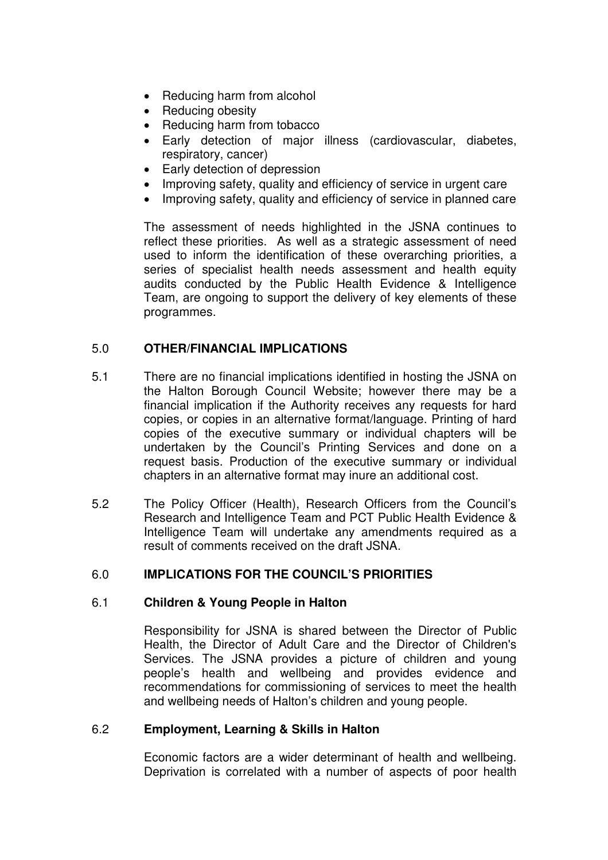- Reducing harm from alcohol
- Reducing obesity
- Reducing harm from tobacco
- Early detection of major illness (cardiovascular, diabetes, respiratory, cancer)
- Early detection of depression
- Improving safety, quality and efficiency of service in urgent care
- Improving safety, quality and efficiency of service in planned care

The assessment of needs highlighted in the JSNA continues to reflect these priorities. As well as a strategic assessment of need used to inform the identification of these overarching priorities, a series of specialist health needs assessment and health equity audits conducted by the Public Health Evidence & Intelligence Team, are ongoing to support the delivery of key elements of these programmes.

## 5.0 **OTHER/FINANCIAL IMPLICATIONS**

- 5.1 There are no financial implications identified in hosting the JSNA on the Halton Borough Council Website; however there may be a financial implication if the Authority receives any requests for hard copies, or copies in an alternative format/language. Printing of hard copies of the executive summary or individual chapters will be undertaken by the Council's Printing Services and done on a request basis. Production of the executive summary or individual chapters in an alternative format may inure an additional cost.
- 5.2 The Policy Officer (Health), Research Officers from the Council's Research and Intelligence Team and PCT Public Health Evidence & Intelligence Team will undertake any amendments required as a result of comments received on the draft JSNA.

## 6.0 **IMPLICATIONS FOR THE COUNCIL'S PRIORITIES**

## 6.1 **Children & Young People in Halton**

Responsibility for JSNA is shared between the Director of Public Health, the Director of Adult Care and the Director of Children's Services. The JSNA provides a picture of children and young people's health and wellbeing and provides evidence and recommendations for commissioning of services to meet the health and wellbeing needs of Halton's children and young people.

### 6.2 **Employment, Learning & Skills in Halton**

Economic factors are a wider determinant of health and wellbeing. Deprivation is correlated with a number of aspects of poor health